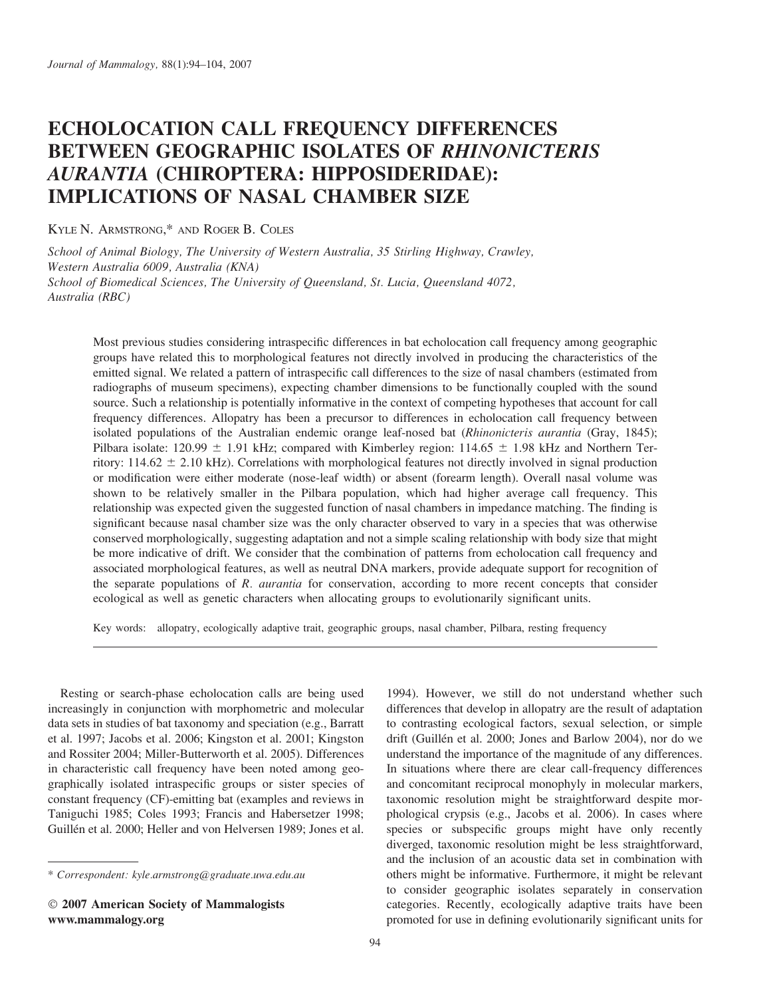# ECHOLOCATION CALL FREQUENCY DIFFERENCES BETWEEN GEOGRAPHIC ISOLATES OF RHINONICTERIS AURANTIA (CHIROPTERA: HIPPOSIDERIDAE): IMPLICATIONS OF NASAL CHAMBER SIZE

KYLE N. ARMSTRONG,\* AND ROGER B. COLES

School of Animal Biology, The University of Western Australia, 35 Stirling Highway, Crawley, Western Australia 6009, Australia (KNA) School of Biomedical Sciences, The University of Queensland, St. Lucia, Queensland 4072, Australia (RBC)

Most previous studies considering intraspecific differences in bat echolocation call frequency among geographic groups have related this to morphological features not directly involved in producing the characteristics of the emitted signal. We related a pattern of intraspecific call differences to the size of nasal chambers (estimated from radiographs of museum specimens), expecting chamber dimensions to be functionally coupled with the sound source. Such a relationship is potentially informative in the context of competing hypotheses that account for call frequency differences. Allopatry has been a precursor to differences in echolocation call frequency between isolated populations of the Australian endemic orange leaf-nosed bat (Rhinonicteris aurantia (Gray, 1845); Pilbara isolate: 120.99  $\pm$  1.91 kHz; compared with Kimberley region: 114.65  $\pm$  1.98 kHz and Northern Territory:  $114.62 \pm 2.10$  kHz). Correlations with morphological features not directly involved in signal production or modification were either moderate (nose-leaf width) or absent (forearm length). Overall nasal volume was shown to be relatively smaller in the Pilbara population, which had higher average call frequency. This relationship was expected given the suggested function of nasal chambers in impedance matching. The finding is significant because nasal chamber size was the only character observed to vary in a species that was otherwise conserved morphologically, suggesting adaptation and not a simple scaling relationship with body size that might be more indicative of drift. We consider that the combination of patterns from echolocation call frequency and associated morphological features, as well as neutral DNA markers, provide adequate support for recognition of the separate populations of  $R$ . *aurantia* for conservation, according to more recent concepts that consider ecological as well as genetic characters when allocating groups to evolutionarily significant units.

Key words: allopatry, ecologically adaptive trait, geographic groups, nasal chamber, Pilbara, resting frequency

Resting or search-phase echolocation calls are being used increasingly in conjunction with morphometric and molecular data sets in studies of bat taxonomy and speciation (e.g., Barratt et al. 1997; Jacobs et al. 2006; Kingston et al. 2001; Kingston and Rossiter 2004; Miller-Butterworth et al. 2005). Differences in characteristic call frequency have been noted among geographically isolated intraspecific groups or sister species of constant frequency (CF)-emitting bat (examples and reviews in Taniguchi 1985; Coles 1993; Francis and Habersetzer 1998; Guillén et al. 2000; Heller and von Helversen 1989; Jones et al.

1994). However, we still do not understand whether such differences that develop in allopatry are the result of adaptation to contrasting ecological factors, sexual selection, or simple drift (Guillén et al. 2000; Jones and Barlow 2004), nor do we understand the importance of the magnitude of any differences. In situations where there are clear call-frequency differences and concomitant reciprocal monophyly in molecular markers, taxonomic resolution might be straightforward despite morphological crypsis (e.g., Jacobs et al. 2006). In cases where species or subspecific groups might have only recently diverged, taxonomic resolution might be less straightforward, and the inclusion of an acoustic data set in combination with others might be informative. Furthermore, it might be relevant to consider geographic isolates separately in conservation categories. Recently, ecologically adaptive traits have been promoted for use in defining evolutionarily significant units for

<sup>\*</sup> Correspondent: kyle.armstrong@graduate.uwa.edu.au

2007 American Society of Mammalogists www.mammalogy.org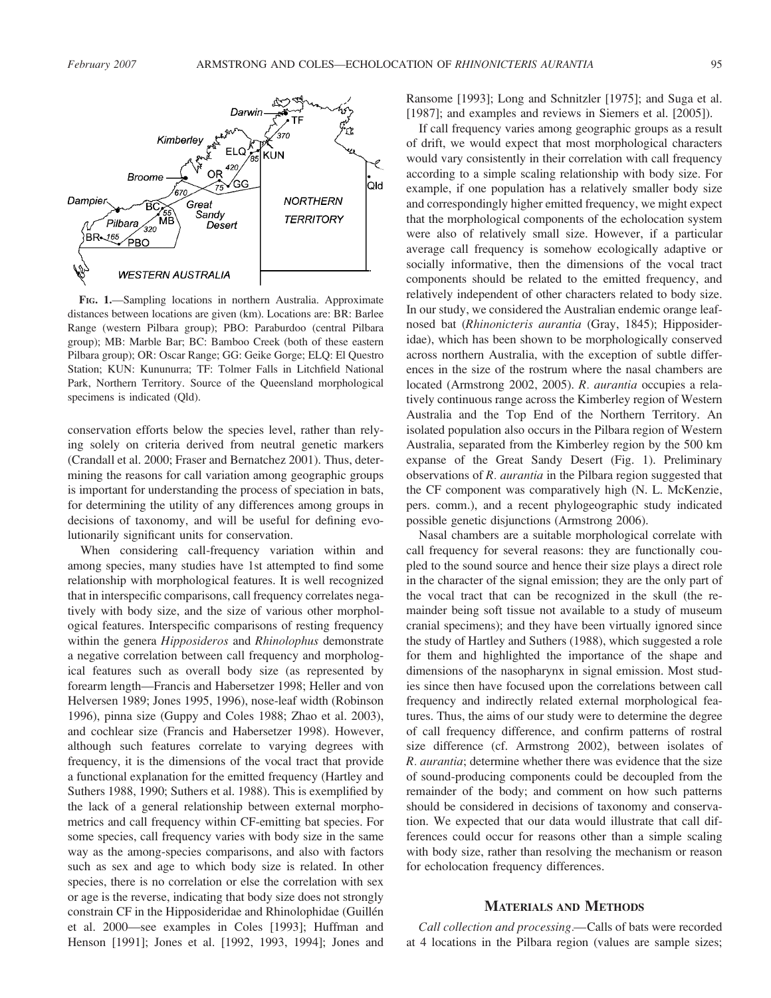

If call frequency varies among geographic groups as a result of drift, we would expect that most morphological characters would vary consistently in their correlation with call frequency according to a simple scaling relationship with body size. For example, if one population has a relatively smaller body size and correspondingly higher emitted frequency, we might expect that the morphological components of the echolocation system were also of relatively small size. However, if a particular average call frequency is somehow ecologically adaptive or socially informative, then the dimensions of the vocal tract components should be related to the emitted frequency, and relatively independent of other characters related to body size. In our study, we considered the Australian endemic orange leafnosed bat (Rhinonicteris aurantia (Gray, 1845); Hipposideridae), which has been shown to be morphologically conserved across northern Australia, with the exception of subtle differences in the size of the rostrum where the nasal chambers are located (Armstrong 2002, 2005). R. aurantia occupies a relatively continuous range across the Kimberley region of Western Australia and the Top End of the Northern Territory. An isolated population also occurs in the Pilbara region of Western Australia, separated from the Kimberley region by the 500 km expanse of the Great Sandy Desert (Fig. 1). Preliminary observations of R. aurantia in the Pilbara region suggested that the CF component was comparatively high (N. L. McKenzie, pers. comm.), and a recent phylogeographic study indicated possible genetic disjunctions (Armstrong 2006).

Nasal chambers are a suitable morphological correlate with call frequency for several reasons: they are functionally coupled to the sound source and hence their size plays a direct role in the character of the signal emission; they are the only part of the vocal tract that can be recognized in the skull (the remainder being soft tissue not available to a study of museum cranial specimens); and they have been virtually ignored since the study of Hartley and Suthers (1988), which suggested a role for them and highlighted the importance of the shape and dimensions of the nasopharynx in signal emission. Most studies since then have focused upon the correlations between call frequency and indirectly related external morphological features. Thus, the aims of our study were to determine the degree of call frequency difference, and confirm patterns of rostral size difference (cf. Armstrong 2002), between isolates of R. aurantia; determine whether there was evidence that the size of sound-producing components could be decoupled from the remainder of the body; and comment on how such patterns should be considered in decisions of taxonomy and conservation. We expected that our data would illustrate that call differences could occur for reasons other than a simple scaling with body size, rather than resolving the mechanism or reason for echolocation frequency differences.

#### MATERIALS AND METHODS

Call collection and processing.—Calls of bats were recorded at 4 locations in the Pilbara region (values are sample sizes;

FIG. 1.—Sampling locations in northern Australia. Approximate distances between locations are given (km). Locations are: BR: Barlee Range (western Pilbara group); PBO: Paraburdoo (central Pilbara group); MB: Marble Bar; BC: Bamboo Creek (both of these eastern Pilbara group); OR: Oscar Range; GG: Geike Gorge; ELQ: El Questro Station; KUN: Kununurra; TF: Tolmer Falls in Litchfield National Park, Northern Territory. Source of the Queensland morphological specimens is indicated (Qld).

conservation efforts below the species level, rather than relying solely on criteria derived from neutral genetic markers (Crandall et al. 2000; Fraser and Bernatchez 2001). Thus, determining the reasons for call variation among geographic groups is important for understanding the process of speciation in bats, for determining the utility of any differences among groups in decisions of taxonomy, and will be useful for defining evolutionarily significant units for conservation.

When considering call-frequency variation within and among species, many studies have 1st attempted to find some relationship with morphological features. It is well recognized that in interspecific comparisons, call frequency correlates negatively with body size, and the size of various other morphological features. Interspecific comparisons of resting frequency within the genera *Hipposideros* and *Rhinolophus* demonstrate a negative correlation between call frequency and morphological features such as overall body size (as represented by forearm length—Francis and Habersetzer 1998; Heller and von Helversen 1989; Jones 1995, 1996), nose-leaf width (Robinson 1996), pinna size (Guppy and Coles 1988; Zhao et al. 2003), and cochlear size (Francis and Habersetzer 1998). However, although such features correlate to varying degrees with frequency, it is the dimensions of the vocal tract that provide a functional explanation for the emitted frequency (Hartley and Suthers 1988, 1990; Suthers et al. 1988). This is exemplified by the lack of a general relationship between external morphometrics and call frequency within CF-emitting bat species. For some species, call frequency varies with body size in the same way as the among-species comparisons, and also with factors such as sex and age to which body size is related. In other species, there is no correlation or else the correlation with sex or age is the reverse, indicating that body size does not strongly constrain CF in the Hipposideridae and Rhinolophidae (Guillén et al. 2000—see examples in Coles [1993]; Huffman and Henson [1991]; Jones et al. [1992, 1993, 1994]; Jones and

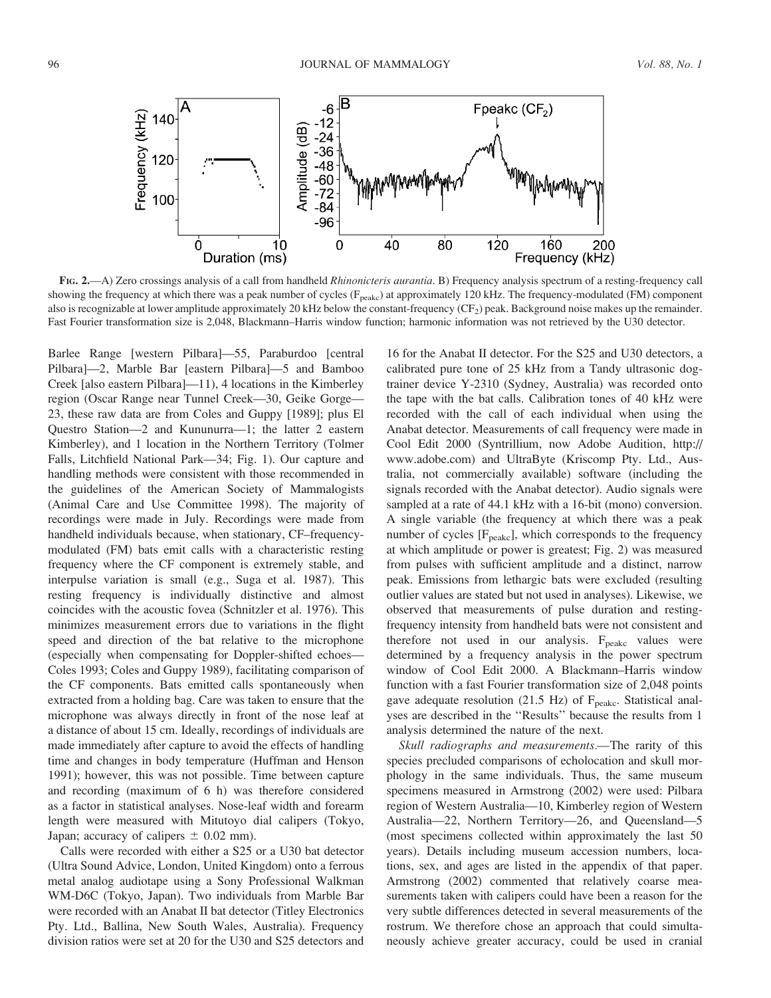

FIG. 2.—A) Zero crossings analysis of a call from handheld *Rhinonicteris aurantia*. B) Frequency analysis spectrum of a resting-frequency call showing the frequency at which there was a peak number of cycles  $(F_{peakc})$  at approximately 120 kHz. The frequency-modulated (FM) component also is recognizable at lower amplitude approximately 20 kHz below the constant-frequency  $(CF_2)$  peak. Background noise makes up the remainder. Fast Fourier transformation size is 2,048, Blackmann–Harris window function; harmonic information was not retrieved by the U30 detector.

Barlee Range [western Pilbara]—55, Paraburdoo [central Pilbara]—2, Marble Bar [eastern Pilbara]—5 and Bamboo Creek [also eastern Pilbara]—11), 4 locations in the Kimberley region (Oscar Range near Tunnel Creek—30, Geike Gorge— 23, these raw data are from Coles and Guppy [1989]; plus El Questro Station—2 and Kununurra—1; the latter 2 eastern Kimberley), and 1 location in the Northern Territory (Tolmer Falls, Litchfield National Park—34; Fig. 1). Our capture and handling methods were consistent with those recommended in the guidelines of the American Society of Mammalogists (Animal Care and Use Committee 1998). The majority of recordings were made in July. Recordings were made from handheld individuals because, when stationary, CF–frequencymodulated (FM) bats emit calls with a characteristic resting frequency where the CF component is extremely stable, and interpulse variation is small (e.g., Suga et al. 1987). This resting frequency is individually distinctive and almost coincides with the acoustic fovea (Schnitzler et al. 1976). This minimizes measurement errors due to variations in the flight speed and direction of the bat relative to the microphone (especially when compensating for Doppler-shifted echoes— Coles 1993; Coles and Guppy 1989), facilitating comparison of the CF components. Bats emitted calls spontaneously when extracted from a holding bag. Care was taken to ensure that the microphone was always directly in front of the nose leaf at a distance of about 15 cm. Ideally, recordings of individuals are made immediately after capture to avoid the effects of handling time and changes in body temperature (Huffman and Henson 1991); however, this was not possible. Time between capture and recording (maximum of 6 h) was therefore considered as a factor in statistical analyses. Nose-leaf width and forearm length were measured with Mitutoyo dial calipers (Tokyo, Japan; accuracy of calipers  $\pm$  0.02 mm).

Calls were recorded with either a S25 or a U30 bat detector (Ultra Sound Advice, London, United Kingdom) onto a ferrous metal analog audiotape using a Sony Professional Walkman WM-D6C (Tokyo, Japan). Two individuals from Marble Bar were recorded with an Anabat II bat detector (Titley Electronics Pty. Ltd., Ballina, New South Wales, Australia). Frequency division ratios were set at 20 for the U30 and S25 detectors and

16 for the Anabat II detector. For the S25 and U30 detectors, a calibrated pure tone of 25 kHz from a Tandy ultrasonic dogtrainer device Y-2310 (Sydney, Australia) was recorded onto the tape with the bat calls. Calibration tones of 40 kHz were recorded with the call of each individual when using the Anabat detector. Measurements of call frequency were made in Cool Edit 2000 (Syntrillium, now Adobe Audition, http:// www.adobe.com) and UltraByte (Kriscomp Pty. Ltd., Australia, not commercially available) software (including the signals recorded with the Anabat detector). Audio signals were sampled at a rate of 44.1 kHz with a 16-bit (mono) conversion. A single variable (the frequency at which there was a peak number of cycles [F<sub>peakc</sub>], which corresponds to the frequency at which amplitude or power is greatest; Fig. 2) was measured from pulses with sufficient amplitude and a distinct, narrow peak. Emissions from lethargic bats were excluded (resulting outlier values are stated but not used in analyses). Likewise, we observed that measurements of pulse duration and restingfrequency intensity from handheld bats were not consistent and therefore not used in our analysis.  $F_{\text{peakc}}$  values were determined by a frequency analysis in the power spectrum window of Cool Edit 2000. A Blackmann–Harris window function with a fast Fourier transformation size of 2,048 points gave adequate resolution (21.5 Hz) of  $F_{\text{peak}}$ . Statistical analyses are described in the ''Results'' because the results from 1 analysis determined the nature of the next.

Skull radiographs and measurements.—The rarity of this species precluded comparisons of echolocation and skull morphology in the same individuals. Thus, the same museum specimens measured in Armstrong (2002) were used: Pilbara region of Western Australia—10, Kimberley region of Western Australia—22, Northern Territory—26, and Queensland—5 (most specimens collected within approximately the last 50 years). Details including museum accession numbers, locations, sex, and ages are listed in the appendix of that paper. Armstrong (2002) commented that relatively coarse measurements taken with calipers could have been a reason for the very subtle differences detected in several measurements of the rostrum. We therefore chose an approach that could simultaneously achieve greater accuracy, could be used in cranial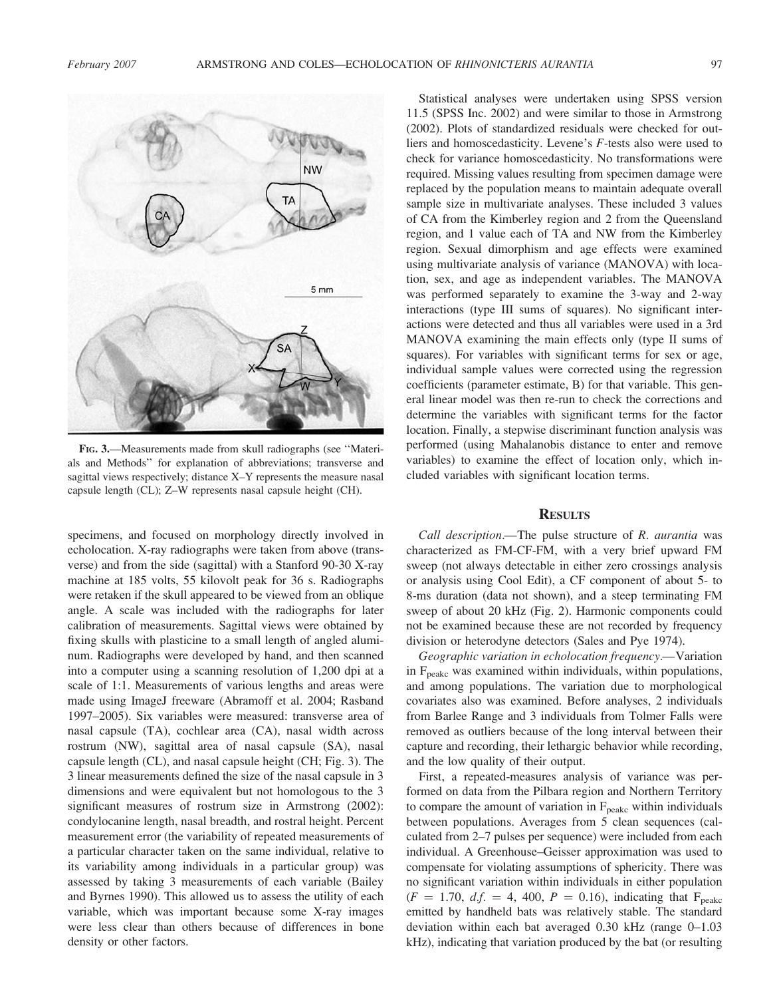

FIG. 3.—Measurements made from skull radiographs (see ''Materials and Methods'' for explanation of abbreviations; transverse and sagittal views respectively; distance X–Y represents the measure nasal capsule length (CL); Z–W represents nasal capsule height (CH).

specimens, and focused on morphology directly involved in echolocation. X-ray radiographs were taken from above (transverse) and from the side (sagittal) with a Stanford 90-30 X-ray machine at 185 volts, 55 kilovolt peak for 36 s. Radiographs were retaken if the skull appeared to be viewed from an oblique angle. A scale was included with the radiographs for later calibration of measurements. Sagittal views were obtained by fixing skulls with plasticine to a small length of angled aluminum. Radiographs were developed by hand, and then scanned into a computer using a scanning resolution of 1,200 dpi at a scale of 1:1. Measurements of various lengths and areas were made using ImageJ freeware (Abramoff et al. 2004; Rasband 1997–2005). Six variables were measured: transverse area of nasal capsule (TA), cochlear area (CA), nasal width across rostrum (NW), sagittal area of nasal capsule (SA), nasal capsule length (CL), and nasal capsule height (CH; Fig. 3). The 3 linear measurements defined the size of the nasal capsule in 3 dimensions and were equivalent but not homologous to the 3 significant measures of rostrum size in Armstrong (2002): condylocanine length, nasal breadth, and rostral height. Percent measurement error (the variability of repeated measurements of a particular character taken on the same individual, relative to its variability among individuals in a particular group) was assessed by taking 3 measurements of each variable (Bailey and Byrnes 1990). This allowed us to assess the utility of each variable, which was important because some X-ray images were less clear than others because of differences in bone density or other factors.

Statistical analyses were undertaken using SPSS version 11.5 (SPSS Inc. 2002) and were similar to those in Armstrong (2002). Plots of standardized residuals were checked for outliers and homoscedasticity. Levene's F-tests also were used to check for variance homoscedasticity. No transformations were required. Missing values resulting from specimen damage were replaced by the population means to maintain adequate overall sample size in multivariate analyses. These included 3 values of CA from the Kimberley region and 2 from the Queensland region, and 1 value each of TA and NW from the Kimberley region. Sexual dimorphism and age effects were examined using multivariate analysis of variance (MANOVA) with location, sex, and age as independent variables. The MANOVA was performed separately to examine the 3-way and 2-way interactions (type III sums of squares). No significant interactions were detected and thus all variables were used in a 3rd MANOVA examining the main effects only (type II sums of squares). For variables with significant terms for sex or age, individual sample values were corrected using the regression coefficients (parameter estimate, B) for that variable. This general linear model was then re-run to check the corrections and determine the variables with significant terms for the factor location. Finally, a stepwise discriminant function analysis was performed (using Mahalanobis distance to enter and remove variables) to examine the effect of location only, which included variables with significant location terms.

## **RESULTS**

Call description.—The pulse structure of R. aurantia was characterized as FM-CF-FM, with a very brief upward FM sweep (not always detectable in either zero crossings analysis or analysis using Cool Edit), a CF component of about 5- to 8-ms duration (data not shown), and a steep terminating FM sweep of about 20 kHz (Fig. 2). Harmonic components could not be examined because these are not recorded by frequency division or heterodyne detectors (Sales and Pye 1974).

Geographic variation in echolocation frequency.—Variation in  $F_{\text{peakc}}$  was examined within individuals, within populations, and among populations. The variation due to morphological covariates also was examined. Before analyses, 2 individuals from Barlee Range and 3 individuals from Tolmer Falls were removed as outliers because of the long interval between their capture and recording, their lethargic behavior while recording, and the low quality of their output.

First, a repeated-measures analysis of variance was performed on data from the Pilbara region and Northern Territory to compare the amount of variation in  $F_{\text{peakc}}$  within individuals between populations. Averages from 5 clean sequences (calculated from 2–7 pulses per sequence) were included from each individual. A Greenhouse–Geisser approximation was used to compensate for violating assumptions of sphericity. There was no significant variation within individuals in either population  $(F = 1.70, df. = 4, 400, P = 0.16)$ , indicating that F<sub>peakc</sub> emitted by handheld bats was relatively stable. The standard deviation within each bat averaged 0.30 kHz (range 0–1.03 kHz), indicating that variation produced by the bat (or resulting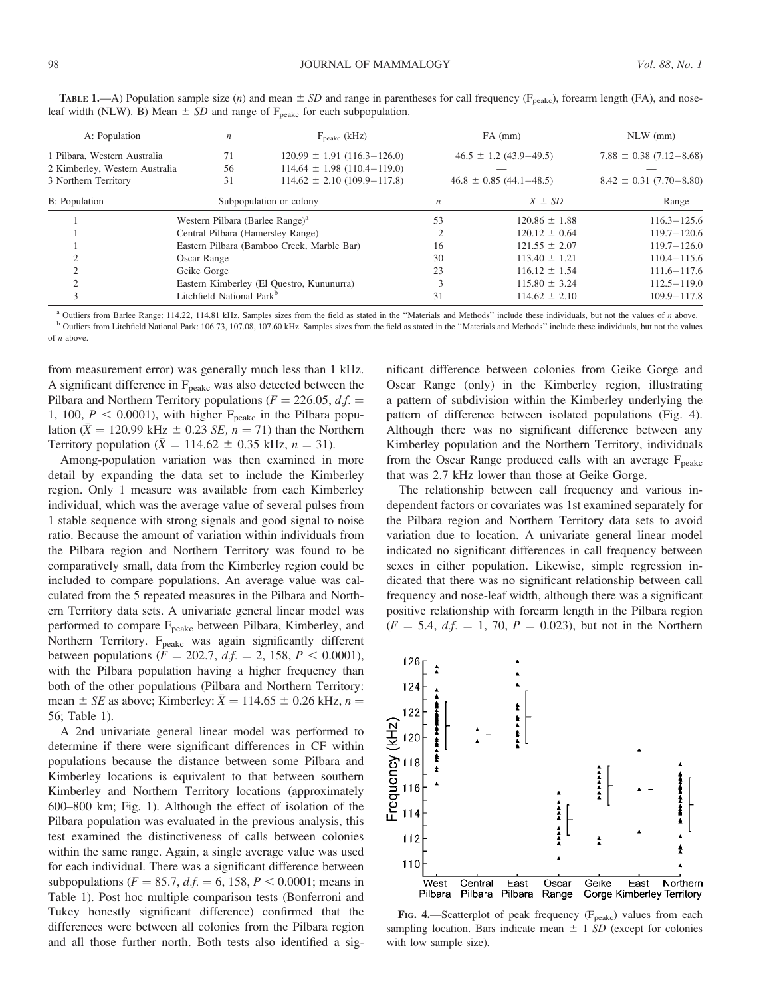| A: Population                  | $\boldsymbol{n}$                            | $F_{\text{peakc}}$ (kHz)            |                                 | $FA$ (mm)         | $NLW$ (mm)                    |
|--------------------------------|---------------------------------------------|-------------------------------------|---------------------------------|-------------------|-------------------------------|
| 1 Pilbara, Western Australia   | 71                                          | $120.99 \pm 1.91 (116.3 - 126.0)$   | $46.5 \pm 1.2$ (43.9–49.5)      |                   | $7.88 \pm 0.38$ (7.12-8.68)   |
| 2 Kimberley, Western Australia | 56                                          | $114.64 \pm 1.98 \ (110.4 - 119.0)$ |                                 |                   |                               |
| 3 Northern Territory           | 31                                          | $114.62 \pm 2.10 \ (109.9 - 117.8)$ | $46.8 \pm 0.85 \ (44.1 - 48.5)$ |                   | $8.42 \pm 0.31 (7.70 - 8.80)$ |
| <b>B</b> : Population          |                                             | Subpopulation or colony             | $\boldsymbol{n}$                | $\bar{X} \pm SD$  | Range                         |
|                                | Western Pilbara (Barlee Range) <sup>a</sup> |                                     | 53                              | $120.86 \pm 1.88$ | $116.3 - 125.6$               |
|                                | Central Pilbara (Hamersley Range)           |                                     |                                 | $120.12 \pm 0.64$ | $119.7 - 120.6$               |
|                                | Eastern Pilbara (Bamboo Creek, Marble Bar)  |                                     | 16                              | $121.55 \pm 2.07$ | $119.7 - 126.0$               |
|                                | Oscar Range                                 |                                     | 30                              | $113.40 \pm 1.21$ | $110.4 - 115.6$               |
|                                | Geike Gorge                                 |                                     | 23                              | $116.12 \pm 1.54$ | $111.6 - 117.6$               |
|                                | Eastern Kimberley (El Questro, Kununurra)   |                                     | 3                               | $115.80 \pm 3.24$ | $112.5 - 119.0$               |
|                                | Litchfield National Park <sup>b</sup>       |                                     | 31                              | $114.62 \pm 2.10$ | $109.9 - 117.8$               |
|                                |                                             |                                     |                                 |                   |                               |

**TABLE 1.**—A) Population sample size (n) and mean  $\pm SD$  and range in parentheses for call frequency (F<sub>peakc</sub>), forearm length (FA), and noseleaf width (NLW). B) Mean  $\pm$  SD and range of F<sub>peakc</sub> for each subpopulation.

<sup>a</sup> Outliers from Barlee Range: 114.22, 114.81 kHz. Samples sizes from the field as stated in the "Materials and Methods" include these individuals, but not the values of n above. <sup>b</sup> Outliers from Litchfield National Park: 106.73, 107.08, 107.60 kHz. Samples sizes from the field as stated in the "Materials and Methods" include these individuals, but not the values of n above.

from measurement error) was generally much less than 1 kHz. A significant difference in  $F_{\text{peakc}}$  was also detected between the Pilbara and Northern Territory populations ( $F = 226.05$ ,  $df =$ 1, 100,  $P < 0.0001$ ), with higher  $F_{\text{peakc}}$  in the Pilbara population ( $\bar{X} = 120.99$  kHz  $\pm$  0.23 *SE*,  $n = 71$ ) than the Northern Territory population ( $\overline{X} = 114.62 \pm 0.35$  kHz,  $n = 31$ ).

Among-population variation was then examined in more detail by expanding the data set to include the Kimberley region. Only 1 measure was available from each Kimberley individual, which was the average value of several pulses from 1 stable sequence with strong signals and good signal to noise ratio. Because the amount of variation within individuals from the Pilbara region and Northern Territory was found to be comparatively small, data from the Kimberley region could be included to compare populations. An average value was calculated from the 5 repeated measures in the Pilbara and Northern Territory data sets. A univariate general linear model was performed to compare F<sub>peakc</sub> between Pilbara, Kimberley, and Northern Territory. F<sub>peakc</sub> was again significantly different between populations ( $F = 202.7$ ,  $df = 2$ , 158,  $P < 0.0001$ ), with the Pilbara population having a higher frequency than both of the other populations (Pilbara and Northern Territory: mean  $\pm$  *SE* as above; Kimberley:  $\bar{X} = 114.65 \pm 0.26$  kHz,  $n =$ 56; Table 1).

A 2nd univariate general linear model was performed to determine if there were significant differences in CF within populations because the distance between some Pilbara and Kimberley locations is equivalent to that between southern Kimberley and Northern Territory locations (approximately 600–800 km; Fig. 1). Although the effect of isolation of the Pilbara population was evaluated in the previous analysis, this test examined the distinctiveness of calls between colonies within the same range. Again, a single average value was used for each individual. There was a significant difference between subpopulations ( $F = 85.7$ ,  $d.f. = 6$ , 158,  $P < 0.0001$ ; means in Table 1). Post hoc multiple comparison tests (Bonferroni and Tukey honestly significant difference) confirmed that the differences were between all colonies from the Pilbara region and all those further north. Both tests also identified a significant difference between colonies from Geike Gorge and Oscar Range (only) in the Kimberley region, illustrating a pattern of subdivision within the Kimberley underlying the pattern of difference between isolated populations (Fig. 4). Although there was no significant difference between any Kimberley population and the Northern Territory, individuals from the Oscar Range produced calls with an average  $F_{\text{peakc}}$ that was 2.7 kHz lower than those at Geike Gorge.

The relationship between call frequency and various independent factors or covariates was 1st examined separately for the Pilbara region and Northern Territory data sets to avoid variation due to location. A univariate general linear model indicated no significant differences in call frequency between sexes in either population. Likewise, simple regression indicated that there was no significant relationship between call frequency and nose-leaf width, although there was a significant positive relationship with forearm length in the Pilbara region  $(F = 5.4, d.f. = 1, 70, P = 0.023)$ , but not in the Northern



FIG. 4.—Scatterplot of peak frequency ( $F_{\text{peakc}}$ ) values from each sampling location. Bars indicate mean  $\pm$  1 SD (except for colonies with low sample size).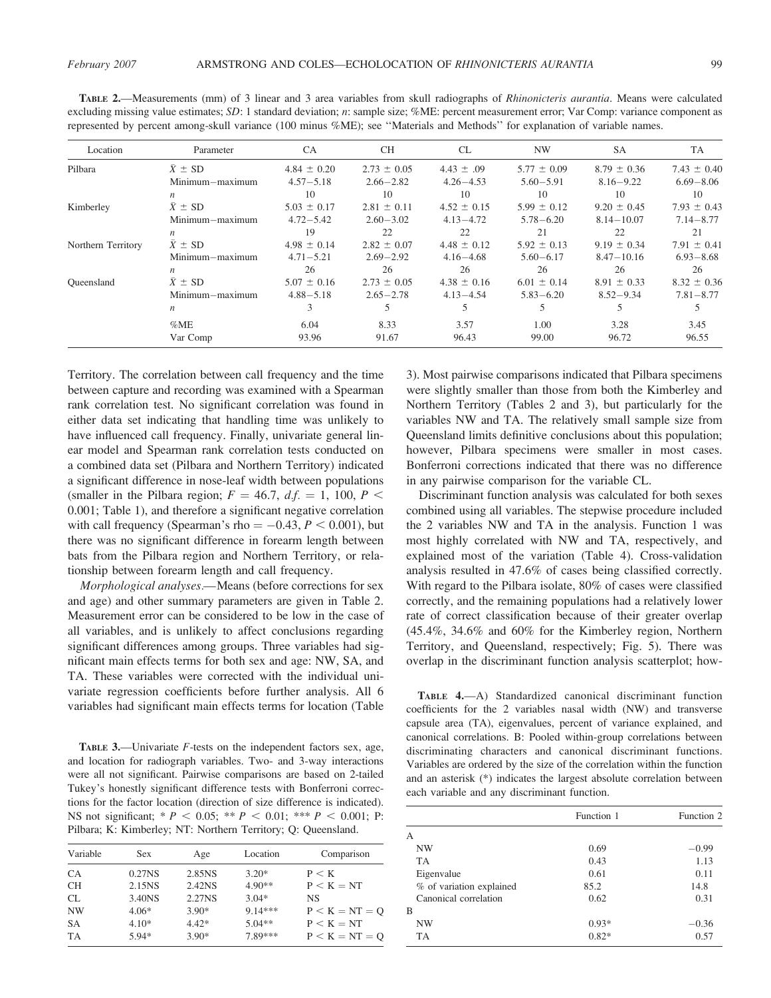| Location           | Parameter        | <b>CA</b>       | <b>CH</b>       | <b>CL</b>       | <b>NW</b>       | SA              | TA              |
|--------------------|------------------|-----------------|-----------------|-----------------|-----------------|-----------------|-----------------|
| Pilbara            | $X \pm SD$       | $4.84 \pm 0.20$ | $2.73 \pm 0.05$ | $4.43 \pm .09$  | $5.77 \pm 0.09$ | $8.79 \pm 0.36$ | 7.43 $\pm$ 0.40 |
|                    | Minimum-maximum  | $4.57 - 5.18$   | $2.66 - 2.82$   | $4.26 - 4.53$   | $5.60 - 5.91$   | $8.16 - 9.22$   | $6.69 - 8.06$   |
|                    | n                | 10              | 10              | 10              | 10              | 10              | 10              |
| Kimberley          | $X \pm SD$       | $5.03 \pm 0.17$ | $2.81 \pm 0.11$ | $4.52 \pm 0.15$ | $5.99 \pm 0.12$ | $9.20 \pm 0.45$ | $7.93 \pm 0.43$ |
|                    | Minimum-maximum  | $4.72 - 5.42$   | $2.60 - 3.02$   | $4.13 - 4.72$   | $5.78 - 6.20$   | $8.14 - 10.07$  | $7.14 - 8.77$   |
|                    | $\boldsymbol{n}$ | 19              | 22              | 22              | 21              | 22              | 21              |
| Northern Territory | $\bar{X} \pm SD$ | $4.98 \pm 0.14$ | $2.82 \pm 0.07$ | $4.48 \pm 0.12$ | $5.92 \pm 0.13$ | $9.19 \pm 0.34$ | $7.91 \pm 0.41$ |
|                    | Minimum-maximum  | $4.71 - 5.21$   | $2.69 - 2.92$   | $4.16 - 4.68$   | $5.60 - 6.17$   | $8.47 - 10.16$  | $6.93 - 8.68$   |
|                    | $\boldsymbol{n}$ | 26              | 26              | 26              | 26              | 26              | 26              |
| Oueensland         | $X \pm SD$       | $5.07 \pm 0.16$ | $2.73 \pm 0.05$ | $4.38 \pm 0.16$ | $6.01 \pm 0.14$ | $8.91 \pm 0.33$ | $8.32 \pm 0.36$ |
|                    | Minimum-maximum  | $4.88 - 5.18$   | $2.65 - 2.78$   | $4.13 - 4.54$   | $5.83 - 6.20$   | $8.52 - 9.34$   | $7.81 - 8.77$   |
|                    | $\boldsymbol{n}$ |                 |                 |                 |                 |                 |                 |
|                    | %ME              | 6.04            | 8.33            | 3.57            | 1.00            | 3.28            | 3.45            |
|                    | Var Comp         | 93.96           | 91.67           | 96.43           | 99.00           | 96.72           | 96.55           |

TABLE 2.—Measurements (mm) of 3 linear and 3 area variables from skull radiographs of Rhinonicteris aurantia. Means were calculated excluding missing value estimates; SD: 1 standard deviation; n: sample size; %ME: percent measurement error; Var Comp: variance component as represented by percent among-skull variance (100 minus %ME); see ''Materials and Methods'' for explanation of variable names.

Territory. The correlation between call frequency and the time between capture and recording was examined with a Spearman rank correlation test. No significant correlation was found in either data set indicating that handling time was unlikely to have influenced call frequency. Finally, univariate general linear model and Spearman rank correlation tests conducted on a combined data set (Pilbara and Northern Territory) indicated a significant difference in nose-leaf width between populations (smaller in the Pilbara region;  $F = 46.7$ ,  $df = 1$ , 100,  $P <$ 0.001; Table 1), and therefore a significant negative correlation with call frequency (Spearman's rho  $= -0.43, P \le 0.001$ ), but there was no significant difference in forearm length between bats from the Pilbara region and Northern Territory, or relationship between forearm length and call frequency.

Morphological analyses.—Means (before corrections for sex and age) and other summary parameters are given in Table 2. Measurement error can be considered to be low in the case of all variables, and is unlikely to affect conclusions regarding significant differences among groups. Three variables had significant main effects terms for both sex and age: NW, SA, and TA. These variables were corrected with the individual univariate regression coefficients before further analysis. All 6 variables had significant main effects terms for location (Table

TABLE 3.—Univariate F-tests on the independent factors sex, age, and location for radiograph variables. Two- and 3-way interactions were all not significant. Pairwise comparisons are based on 2-tailed Tukey's honestly significant difference tests with Bonferroni corrections for the factor location (direction of size difference is indicated). NS not significant; \*  $P < 0.05$ ; \*\*  $P < 0.01$ ; \*\*\*  $P < 0.001$ ; P: Pilbara; K: Kimberley; NT: Northern Territory; Q: Queensland.

| Variable  | <b>Sex</b>         | Age     | Location  | Comparison       |
|-----------|--------------------|---------|-----------|------------------|
| <b>CA</b> | 0.27 <sub>NS</sub> | 2.85NS  | $3.20*$   | P < K            |
| <b>CH</b> | 2.15NS             | 2.42NS  | $4.90**$  | $P < K = NT$     |
| CL        | 3.40NS             | 2.27NS  | $3.04*$   | NS               |
| <b>NW</b> | $4.06*$            | $3.90*$ | $9.14***$ | $P < K = NT = Q$ |
| <b>SA</b> | $4.10*$            | $4.42*$ | $5.04**$  | $P < K = NT$     |
| <b>TA</b> | $5.94*$            | $3.90*$ | 7.89***   | $P < K = NT = Q$ |

3). Most pairwise comparisons indicated that Pilbara specimens were slightly smaller than those from both the Kimberley and Northern Territory (Tables 2 and 3), but particularly for the variables NW and TA. The relatively small sample size from Queensland limits definitive conclusions about this population; however, Pilbara specimens were smaller in most cases. Bonferroni corrections indicated that there was no difference in any pairwise comparison for the variable CL.

Discriminant function analysis was calculated for both sexes combined using all variables. The stepwise procedure included the 2 variables NW and TA in the analysis. Function 1 was most highly correlated with NW and TA, respectively, and explained most of the variation (Table 4). Cross-validation analysis resulted in 47.6% of cases being classified correctly. With regard to the Pilbara isolate, 80% of cases were classified correctly, and the remaining populations had a relatively lower rate of correct classification because of their greater overlap (45.4%, 34.6% and 60% for the Kimberley region, Northern Territory, and Queensland, respectively; Fig. 5). There was overlap in the discriminant function analysis scatterplot; how-

TABLE 4.—A) Standardized canonical discriminant function coefficients for the 2 variables nasal width (NW) and transverse capsule area (TA), eigenvalues, percent of variance explained, and canonical correlations. B: Pooled within-group correlations between discriminating characters and canonical discriminant functions. Variables are ordered by the size of the correlation within the function and an asterisk (\*) indicates the largest absolute correlation between each variable and any discriminant function.

|                          | Function 1 | Function 2 |
|--------------------------|------------|------------|
| A                        |            |            |
| NW                       | 0.69       | $-0.99$    |
| <b>TA</b>                | 0.43       | 1.13       |
| Eigenvalue               | 0.61       | 0.11       |
| % of variation explained | 85.2       | 14.8       |
| Canonical correlation    | 0.62       | 0.31       |
| B                        |            |            |
| NW                       | $0.93*$    | $-0.36$    |
| TA.                      | $0.82*$    | 0.57       |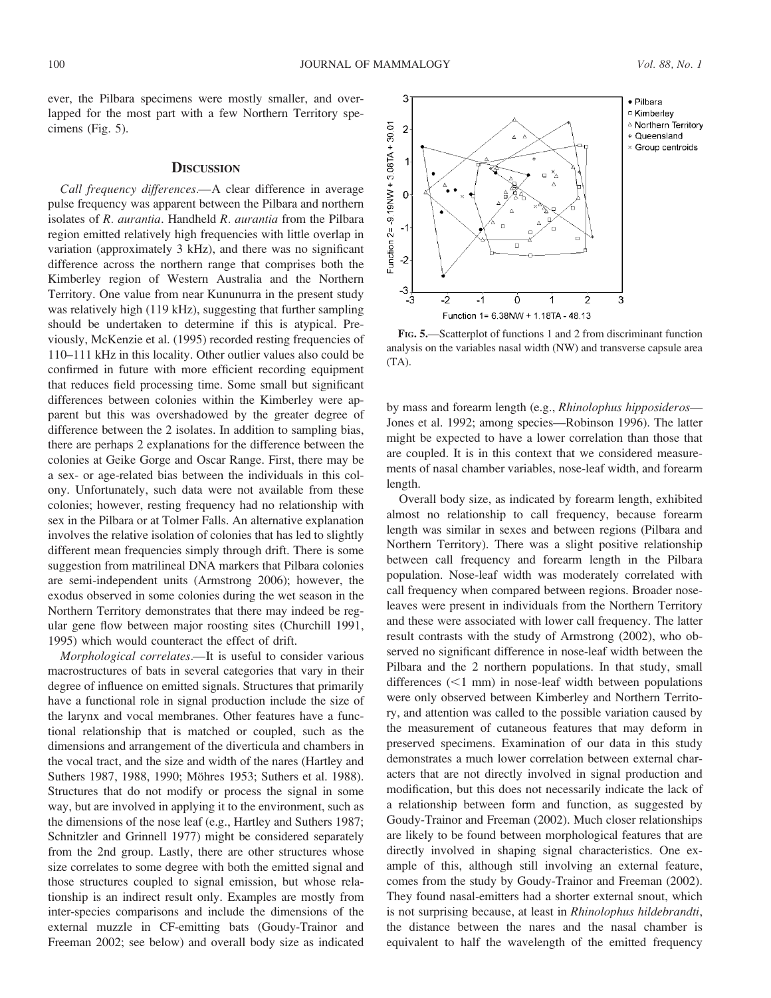ever, the Pilbara specimens were mostly smaller, and overlapped for the most part with a few Northern Territory specimens (Fig. 5).

## **DISCUSSION**

Call frequency differences.—A clear difference in average pulse frequency was apparent between the Pilbara and northern isolates of R. aurantia. Handheld R. aurantia from the Pilbara region emitted relatively high frequencies with little overlap in variation (approximately 3 kHz), and there was no significant difference across the northern range that comprises both the Kimberley region of Western Australia and the Northern Territory. One value from near Kununurra in the present study was relatively high (119 kHz), suggesting that further sampling should be undertaken to determine if this is atypical. Previously, McKenzie et al. (1995) recorded resting frequencies of 110–111 kHz in this locality. Other outlier values also could be confirmed in future with more efficient recording equipment that reduces field processing time. Some small but significant differences between colonies within the Kimberley were apparent but this was overshadowed by the greater degree of difference between the 2 isolates. In addition to sampling bias, there are perhaps 2 explanations for the difference between the colonies at Geike Gorge and Oscar Range. First, there may be a sex- or age-related bias between the individuals in this colony. Unfortunately, such data were not available from these colonies; however, resting frequency had no relationship with sex in the Pilbara or at Tolmer Falls. An alternative explanation involves the relative isolation of colonies that has led to slightly different mean frequencies simply through drift. There is some suggestion from matrilineal DNA markers that Pilbara colonies are semi-independent units (Armstrong 2006); however, the exodus observed in some colonies during the wet season in the Northern Territory demonstrates that there may indeed be regular gene flow between major roosting sites (Churchill 1991, 1995) which would counteract the effect of drift.

Morphological correlates.—It is useful to consider various macrostructures of bats in several categories that vary in their degree of influence on emitted signals. Structures that primarily have a functional role in signal production include the size of the larynx and vocal membranes. Other features have a functional relationship that is matched or coupled, such as the dimensions and arrangement of the diverticula and chambers in the vocal tract, and the size and width of the nares (Hartley and Suthers 1987, 1988, 1990; Möhres 1953; Suthers et al. 1988). Structures that do not modify or process the signal in some way, but are involved in applying it to the environment, such as the dimensions of the nose leaf (e.g., Hartley and Suthers 1987; Schnitzler and Grinnell 1977) might be considered separately from the 2nd group. Lastly, there are other structures whose size correlates to some degree with both the emitted signal and those structures coupled to signal emission, but whose relationship is an indirect result only. Examples are mostly from inter-species comparisons and include the dimensions of the external muzzle in CF-emitting bats (Goudy-Trainor and Freeman 2002; see below) and overall body size as indicated



FIG. 5.—Scatterplot of functions 1 and 2 from discriminant function analysis on the variables nasal width (NW) and transverse capsule area (TA).

by mass and forearm length (e.g., Rhinolophus hipposideros— Jones et al. 1992; among species—Robinson 1996). The latter might be expected to have a lower correlation than those that are coupled. It is in this context that we considered measurements of nasal chamber variables, nose-leaf width, and forearm length.

Overall body size, as indicated by forearm length, exhibited almost no relationship to call frequency, because forearm length was similar in sexes and between regions (Pilbara and Northern Territory). There was a slight positive relationship between call frequency and forearm length in the Pilbara population. Nose-leaf width was moderately correlated with call frequency when compared between regions. Broader noseleaves were present in individuals from the Northern Territory and these were associated with lower call frequency. The latter result contrasts with the study of Armstrong (2002), who observed no significant difference in nose-leaf width between the Pilbara and the 2 northern populations. In that study, small differences  $(< 1$  mm) in nose-leaf width between populations were only observed between Kimberley and Northern Territory, and attention was called to the possible variation caused by the measurement of cutaneous features that may deform in preserved specimens. Examination of our data in this study demonstrates a much lower correlation between external characters that are not directly involved in signal production and modification, but this does not necessarily indicate the lack of a relationship between form and function, as suggested by Goudy-Trainor and Freeman (2002). Much closer relationships are likely to be found between morphological features that are directly involved in shaping signal characteristics. One example of this, although still involving an external feature, comes from the study by Goudy-Trainor and Freeman (2002). They found nasal-emitters had a shorter external snout, which is not surprising because, at least in Rhinolophus hildebrandti, the distance between the nares and the nasal chamber is equivalent to half the wavelength of the emitted frequency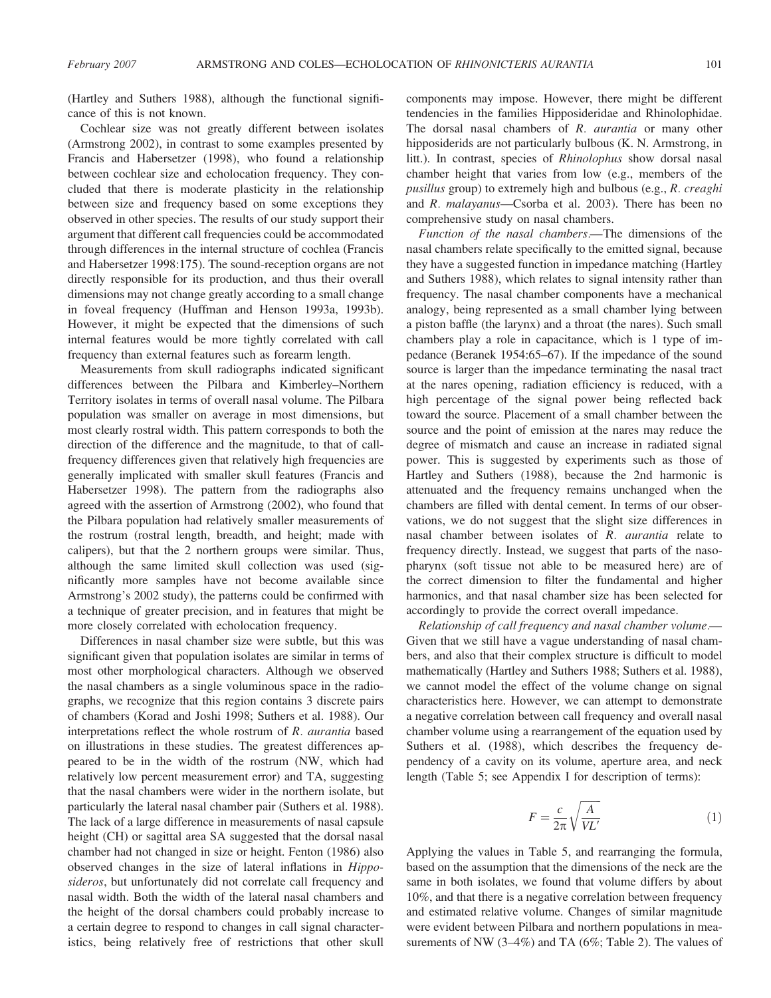(Hartley and Suthers 1988), although the functional significance of this is not known.

Cochlear size was not greatly different between isolates (Armstrong 2002), in contrast to some examples presented by Francis and Habersetzer (1998), who found a relationship between cochlear size and echolocation frequency. They concluded that there is moderate plasticity in the relationship between size and frequency based on some exceptions they observed in other species. The results of our study support their argument that different call frequencies could be accommodated through differences in the internal structure of cochlea (Francis and Habersetzer 1998:175). The sound-reception organs are not directly responsible for its production, and thus their overall dimensions may not change greatly according to a small change in foveal frequency (Huffman and Henson 1993a, 1993b). However, it might be expected that the dimensions of such internal features would be more tightly correlated with call frequency than external features such as forearm length.

Measurements from skull radiographs indicated significant differences between the Pilbara and Kimberley–Northern Territory isolates in terms of overall nasal volume. The Pilbara population was smaller on average in most dimensions, but most clearly rostral width. This pattern corresponds to both the direction of the difference and the magnitude, to that of callfrequency differences given that relatively high frequencies are generally implicated with smaller skull features (Francis and Habersetzer 1998). The pattern from the radiographs also agreed with the assertion of Armstrong (2002), who found that the Pilbara population had relatively smaller measurements of the rostrum (rostral length, breadth, and height; made with calipers), but that the 2 northern groups were similar. Thus, although the same limited skull collection was used (significantly more samples have not become available since Armstrong's 2002 study), the patterns could be confirmed with a technique of greater precision, and in features that might be more closely correlated with echolocation frequency.

Differences in nasal chamber size were subtle, but this was significant given that population isolates are similar in terms of most other morphological characters. Although we observed the nasal chambers as a single voluminous space in the radiographs, we recognize that this region contains 3 discrete pairs of chambers (Korad and Joshi 1998; Suthers et al. 1988). Our interpretations reflect the whole rostrum of R. aurantia based on illustrations in these studies. The greatest differences appeared to be in the width of the rostrum (NW, which had relatively low percent measurement error) and TA, suggesting that the nasal chambers were wider in the northern isolate, but particularly the lateral nasal chamber pair (Suthers et al. 1988). The lack of a large difference in measurements of nasal capsule height (CH) or sagittal area SA suggested that the dorsal nasal chamber had not changed in size or height. Fenton (1986) also observed changes in the size of lateral inflations in Hipposideros, but unfortunately did not correlate call frequency and nasal width. Both the width of the lateral nasal chambers and the height of the dorsal chambers could probably increase to a certain degree to respond to changes in call signal characteristics, being relatively free of restrictions that other skull

components may impose. However, there might be different tendencies in the families Hipposideridae and Rhinolophidae. The dorsal nasal chambers of R. *aurantia* or many other hipposiderids are not particularly bulbous (K. N. Armstrong, in litt.). In contrast, species of Rhinolophus show dorsal nasal chamber height that varies from low (e.g., members of the pusillus group) to extremely high and bulbous (e.g., R. creaghi and R. malayanus—Csorba et al. 2003). There has been no comprehensive study on nasal chambers.

Function of the nasal chambers.—The dimensions of the nasal chambers relate specifically to the emitted signal, because they have a suggested function in impedance matching (Hartley and Suthers 1988), which relates to signal intensity rather than frequency. The nasal chamber components have a mechanical analogy, being represented as a small chamber lying between a piston baffle (the larynx) and a throat (the nares). Such small chambers play a role in capacitance, which is 1 type of impedance (Beranek 1954:65–67). If the impedance of the sound source is larger than the impedance terminating the nasal tract at the nares opening, radiation efficiency is reduced, with a high percentage of the signal power being reflected back toward the source. Placement of a small chamber between the source and the point of emission at the nares may reduce the degree of mismatch and cause an increase in radiated signal power. This is suggested by experiments such as those of Hartley and Suthers (1988), because the 2nd harmonic is attenuated and the frequency remains unchanged when the chambers are filled with dental cement. In terms of our observations, we do not suggest that the slight size differences in nasal chamber between isolates of R. aurantia relate to frequency directly. Instead, we suggest that parts of the nasopharynx (soft tissue not able to be measured here) are of the correct dimension to filter the fundamental and higher harmonics, and that nasal chamber size has been selected for accordingly to provide the correct overall impedance.

Relationship of call frequency and nasal chamber volume.— Given that we still have a vague understanding of nasal chambers, and also that their complex structure is difficult to model mathematically (Hartley and Suthers 1988; Suthers et al. 1988), we cannot model the effect of the volume change on signal characteristics here. However, we can attempt to demonstrate a negative correlation between call frequency and overall nasal chamber volume using a rearrangement of the equation used by Suthers et al. (1988), which describes the frequency dependency of a cavity on its volume, aperture area, and neck length (Table 5; see Appendix I for description of terms):

$$
F = \frac{c}{2\pi} \sqrt{\frac{A}{VL'}}\tag{1}
$$

Applying the values in Table 5, and rearranging the formula, based on the assumption that the dimensions of the neck are the same in both isolates, we found that volume differs by about 10%, and that there is a negative correlation between frequency and estimated relative volume. Changes of similar magnitude were evident between Pilbara and northern populations in measurements of NW (3–4%) and TA (6%; Table 2). The values of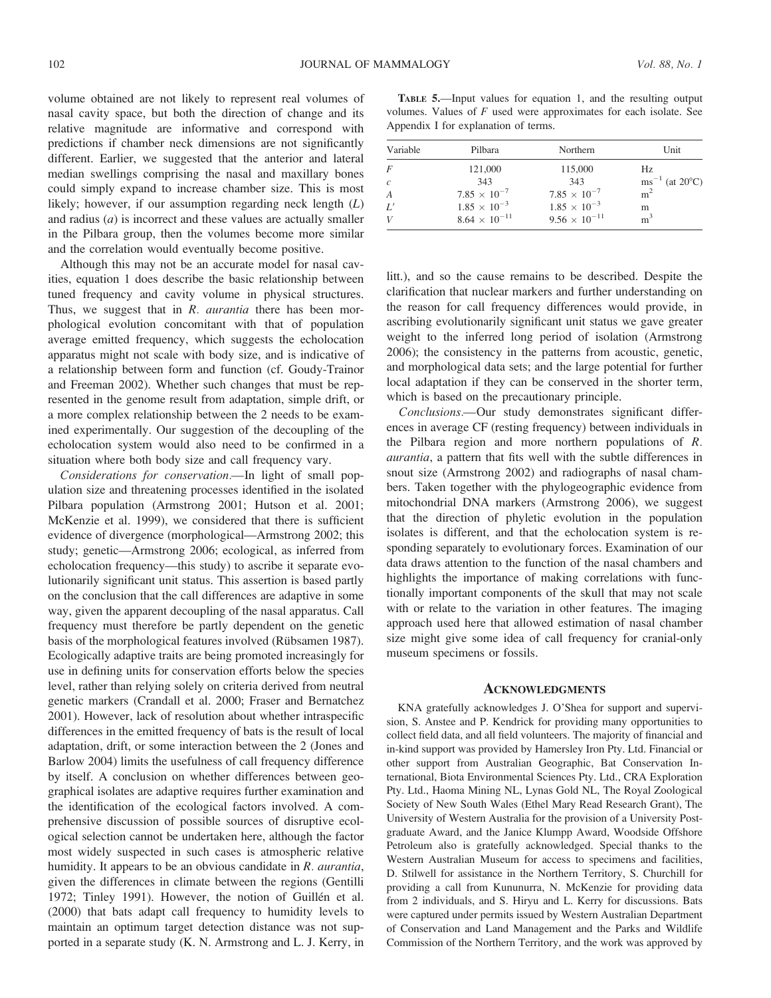volume obtained are not likely to represent real volumes of nasal cavity space, but both the direction of change and its relative magnitude are informative and correspond with predictions if chamber neck dimensions are not significantly different. Earlier, we suggested that the anterior and lateral median swellings comprising the nasal and maxillary bones could simply expand to increase chamber size. This is most likely; however, if our assumption regarding neck length  $(L)$ and radius  $(a)$  is incorrect and these values are actually smaller in the Pilbara group, then the volumes become more similar and the correlation would eventually become positive.

Although this may not be an accurate model for nasal cavities, equation 1 does describe the basic relationship between tuned frequency and cavity volume in physical structures. Thus, we suggest that in  $R$ . *aurantia* there has been morphological evolution concomitant with that of population average emitted frequency, which suggests the echolocation apparatus might not scale with body size, and is indicative of a relationship between form and function (cf. Goudy-Trainor and Freeman 2002). Whether such changes that must be represented in the genome result from adaptation, simple drift, or a more complex relationship between the 2 needs to be examined experimentally. Our suggestion of the decoupling of the echolocation system would also need to be confirmed in a situation where both body size and call frequency vary.

Considerations for conservation.—In light of small population size and threatening processes identified in the isolated Pilbara population (Armstrong 2001; Hutson et al. 2001; McKenzie et al. 1999), we considered that there is sufficient evidence of divergence (morphological—Armstrong 2002; this study; genetic—Armstrong 2006; ecological, as inferred from echolocation frequency—this study) to ascribe it separate evolutionarily significant unit status. This assertion is based partly on the conclusion that the call differences are adaptive in some way, given the apparent decoupling of the nasal apparatus. Call frequency must therefore be partly dependent on the genetic basis of the morphological features involved (Rübsamen 1987). Ecologically adaptive traits are being promoted increasingly for use in defining units for conservation efforts below the species level, rather than relying solely on criteria derived from neutral genetic markers (Crandall et al. 2000; Fraser and Bernatchez 2001). However, lack of resolution about whether intraspecific differences in the emitted frequency of bats is the result of local adaptation, drift, or some interaction between the 2 (Jones and Barlow 2004) limits the usefulness of call frequency difference by itself. A conclusion on whether differences between geographical isolates are adaptive requires further examination and the identification of the ecological factors involved. A comprehensive discussion of possible sources of disruptive ecological selection cannot be undertaken here, although the factor most widely suspected in such cases is atmospheric relative humidity. It appears to be an obvious candidate in R. aurantia, given the differences in climate between the regions (Gentilli 1972; Tinley 1991). However, the notion of Guillén et al. (2000) that bats adapt call frequency to humidity levels to maintain an optimum target detection distance was not supported in a separate study (K. N. Armstrong and L. J. Kerry, in

TABLE 5.—Input values for equation 1, and the resulting output volumes. Values of  $F$  used were approximates for each isolate. See Appendix I for explanation of terms.

| Variable         | Pilbara                | Northern               | Unit                                  |  |
|------------------|------------------------|------------------------|---------------------------------------|--|
| F                | 121,000                | 115,000                | Hz.                                   |  |
| $\mathcal{C}$    | 343                    | 343                    | $\text{ms}^{-1}$ (at 20 $^{\circ}$ C) |  |
| $\boldsymbol{A}$ | $7.85 \times 10^{-7}$  | $7.85 \times 10^{-7}$  | m <sup>2</sup>                        |  |
| L'               | $1.85 \times 10^{-3}$  | $1.85 \times 10^{-3}$  | m                                     |  |
| V                | $8.64 \times 10^{-11}$ | $9.56 \times 10^{-11}$ | m <sup>3</sup>                        |  |

litt.), and so the cause remains to be described. Despite the clarification that nuclear markers and further understanding on the reason for call frequency differences would provide, in ascribing evolutionarily significant unit status we gave greater weight to the inferred long period of isolation (Armstrong 2006); the consistency in the patterns from acoustic, genetic, and morphological data sets; and the large potential for further local adaptation if they can be conserved in the shorter term, which is based on the precautionary principle.

Conclusions.—Our study demonstrates significant differences in average CF (resting frequency) between individuals in the Pilbara region and more northern populations of R. aurantia, a pattern that fits well with the subtle differences in snout size (Armstrong 2002) and radiographs of nasal chambers. Taken together with the phylogeographic evidence from mitochondrial DNA markers (Armstrong 2006), we suggest that the direction of phyletic evolution in the population isolates is different, and that the echolocation system is responding separately to evolutionary forces. Examination of our data draws attention to the function of the nasal chambers and highlights the importance of making correlations with functionally important components of the skull that may not scale with or relate to the variation in other features. The imaging approach used here that allowed estimation of nasal chamber size might give some idea of call frequency for cranial-only museum specimens or fossils.

#### **ACKNOWLEDGMENTS**

KNA gratefully acknowledges J. O'Shea for support and supervision, S. Anstee and P. Kendrick for providing many opportunities to collect field data, and all field volunteers. The majority of financial and in-kind support was provided by Hamersley Iron Pty. Ltd. Financial or other support from Australian Geographic, Bat Conservation International, Biota Environmental Sciences Pty. Ltd., CRA Exploration Pty. Ltd., Haoma Mining NL, Lynas Gold NL, The Royal Zoological Society of New South Wales (Ethel Mary Read Research Grant), The University of Western Australia for the provision of a University Postgraduate Award, and the Janice Klumpp Award, Woodside Offshore Petroleum also is gratefully acknowledged. Special thanks to the Western Australian Museum for access to specimens and facilities, D. Stilwell for assistance in the Northern Territory, S. Churchill for providing a call from Kununurra, N. McKenzie for providing data from 2 individuals, and S. Hiryu and L. Kerry for discussions. Bats were captured under permits issued by Western Australian Department of Conservation and Land Management and the Parks and Wildlife Commission of the Northern Territory, and the work was approved by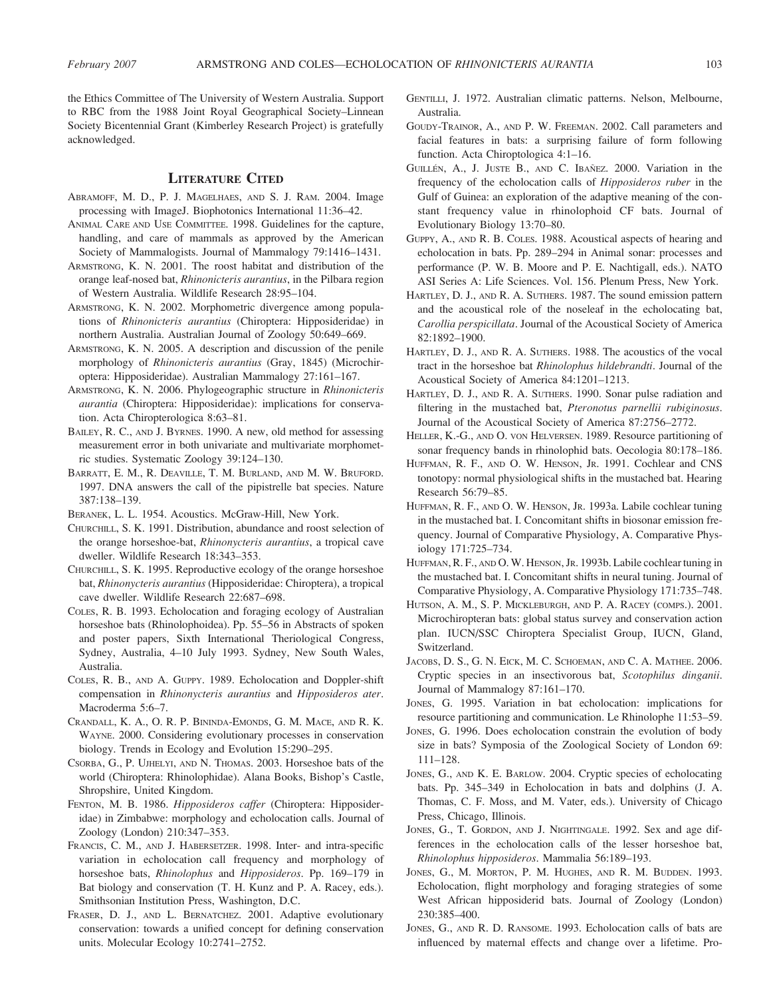the Ethics Committee of The University of Western Australia. Support to RBC from the 1988 Joint Royal Geographical Society–Linnean Society Bicentennial Grant (Kimberley Research Project) is gratefully acknowledged.

# LITERATURE CITED

- ABRAMOFF, M. D., P. J. MAGELHAES, AND S. J. RAM. 2004. Image processing with ImageJ. Biophotonics International 11:36–42.
- ANIMAL CARE AND USE COMMITTEE. 1998. Guidelines for the capture, handling, and care of mammals as approved by the American Society of Mammalogists. Journal of Mammalogy 79:1416–1431.
- ARMSTRONG, K. N. 2001. The roost habitat and distribution of the orange leaf-nosed bat, Rhinonicteris aurantius, in the Pilbara region of Western Australia. Wildlife Research 28:95–104.
- ARMSTRONG, K. N. 2002. Morphometric divergence among populations of Rhinonicteris aurantius (Chiroptera: Hipposideridae) in northern Australia. Australian Journal of Zoology 50:649–669.
- ARMSTRONG, K. N. 2005. A description and discussion of the penile morphology of Rhinonicteris aurantius (Gray, 1845) (Microchiroptera: Hipposideridae). Australian Mammalogy 27:161–167.
- ARMSTRONG, K. N. 2006. Phylogeographic structure in Rhinonicteris aurantia (Chiroptera: Hipposideridae): implications for conservation. Acta Chiropterologica 8:63–81.
- BAILEY, R. C., AND J. BYRNES. 1990. A new, old method for assessing measurement error in both univariate and multivariate morphometric studies. Systematic Zoology 39:124–130.
- BARRATT, E. M., R. DEAVILLE, T. M. BURLAND, AND M. W. BRUFORD. 1997. DNA answers the call of the pipistrelle bat species. Nature 387:138–139.
- BERANEK, L. L. 1954. Acoustics. McGraw-Hill, New York.
- CHURCHILL, S. K. 1991. Distribution, abundance and roost selection of the orange horseshoe-bat, Rhinonycteris aurantius, a tropical cave dweller. Wildlife Research 18:343–353.
- CHURCHILL, S. K. 1995. Reproductive ecology of the orange horseshoe bat, Rhinonycteris aurantius (Hipposideridae: Chiroptera), a tropical cave dweller. Wildlife Research 22:687–698.
- COLES, R. B. 1993. Echolocation and foraging ecology of Australian horseshoe bats (Rhinolophoidea). Pp. 55–56 in Abstracts of spoken and poster papers, Sixth International Theriological Congress, Sydney, Australia, 4–10 July 1993. Sydney, New South Wales, Australia.
- COLES, R. B., AND A. GUPPY. 1989. Echolocation and Doppler-shift compensation in Rhinonycteris aurantius and Hipposideros ater. Macroderma 5:6–7.
- CRANDALL, K. A., O. R. P. BININDA-EMONDS, G. M. MACE, AND R. K. WAYNE. 2000. Considering evolutionary processes in conservation biology. Trends in Ecology and Evolution 15:290–295.
- CSORBA, G., P. UJHELYI, AND N. THOMAS. 2003. Horseshoe bats of the world (Chiroptera: Rhinolophidae). Alana Books, Bishop's Castle, Shropshire, United Kingdom.
- FENTON, M. B. 1986. Hipposideros caffer (Chiroptera: Hipposideridae) in Zimbabwe: morphology and echolocation calls. Journal of Zoology (London) 210:347–353.
- FRANCIS, C. M., AND J. HABERSETZER. 1998. Inter- and intra-specific variation in echolocation call frequency and morphology of horseshoe bats, Rhinolophus and Hipposideros. Pp. 169-179 in Bat biology and conservation (T. H. Kunz and P. A. Racey, eds.). Smithsonian Institution Press, Washington, D.C.
- FRASER, D. J., AND L. BERNATCHEZ. 2001. Adaptive evolutionary conservation: towards a unified concept for defining conservation units. Molecular Ecology 10:2741–2752.
- GENTILLI, J. 1972. Australian climatic patterns. Nelson, Melbourne, Australia.
- GOUDY-TRAINOR, A., AND P. W. FREEMAN. 2002. Call parameters and facial features in bats: a surprising failure of form following function. Acta Chiroptologica 4:1–16.
- GUILLÉN, A., J. JUSTE B., AND C. IBAÑEZ. 2000. Variation in the frequency of the echolocation calls of Hipposideros ruber in the Gulf of Guinea: an exploration of the adaptive meaning of the constant frequency value in rhinolophoid CF bats. Journal of Evolutionary Biology 13:70–80.
- GUPPY, A., AND R. B. COLES. 1988. Acoustical aspects of hearing and echolocation in bats. Pp. 289–294 in Animal sonar: processes and performance (P. W. B. Moore and P. E. Nachtigall, eds.). NATO ASI Series A: Life Sciences. Vol. 156. Plenum Press, New York.
- HARTLEY, D. J., AND R. A. SUTHERS. 1987. The sound emission pattern and the acoustical role of the noseleaf in the echolocating bat, Carollia perspicillata. Journal of the Acoustical Society of America 82:1892–1900.
- HARTLEY, D. J., AND R. A. SUTHERS. 1988. The acoustics of the vocal tract in the horseshoe bat Rhinolophus hildebrandti. Journal of the Acoustical Society of America 84:1201–1213.
- HARTLEY, D. J., AND R. A. SUTHERS. 1990. Sonar pulse radiation and filtering in the mustached bat, Pteronotus parnellii rubiginosus. Journal of the Acoustical Society of America 87:2756–2772.
- HELLER, K.-G., AND O. VON HELVERSEN. 1989. Resource partitioning of sonar frequency bands in rhinolophid bats. Oecologia 80:178–186.
- HUFFMAN, R. F., AND O. W. HENSON, JR. 1991. Cochlear and CNS tonotopy: normal physiological shifts in the mustached bat. Hearing Research 56:79–85.
- HUFFMAN, R. F., AND O. W. HENSON, JR. 1993a. Labile cochlear tuning in the mustached bat. I. Concomitant shifts in biosonar emission frequency. Journal of Comparative Physiology, A. Comparative Physiology 171:725–734.
- HUFFMAN, R. F., AND O. W. HENSON, JR. 1993b. Labile cochlear tuning in the mustached bat. I. Concomitant shifts in neural tuning. Journal of Comparative Physiology, A. Comparative Physiology 171:735–748.
- HUTSON, A. M., S. P. MICKLEBURGH, AND P. A. RACEY (COMPS.). 2001. Microchiropteran bats: global status survey and conservation action plan. IUCN/SSC Chiroptera Specialist Group, IUCN, Gland, Switzerland.
- JACOBS, D. S., G. N. EICK, M. C. SCHOEMAN, AND C. A. MATHEE. 2006. Cryptic species in an insectivorous bat, Scotophilus dinganii. Journal of Mammalogy 87:161–170.
- JONES, G. 1995. Variation in bat echolocation: implications for resource partitioning and communication. Le Rhinolophe 11:53–59.
- JONES, G. 1996. Does echolocation constrain the evolution of body size in bats? Symposia of the Zoological Society of London 69: 111–128.
- JONES, G., AND K. E. BARLOW. 2004. Cryptic species of echolocating bats. Pp. 345–349 in Echolocation in bats and dolphins (J. A. Thomas, C. F. Moss, and M. Vater, eds.). University of Chicago Press, Chicago, Illinois.
- JONES, G., T. GORDON, AND J. NIGHTINGALE. 1992. Sex and age differences in the echolocation calls of the lesser horseshoe bat, Rhinolophus hipposideros. Mammalia 56:189–193.
- JONES, G., M. MORTON, P. M. HUGHES, AND R. M. BUDDEN. 1993. Echolocation, flight morphology and foraging strategies of some West African hipposiderid bats. Journal of Zoology (London) 230:385–400.
- JONES, G., AND R. D. RANSOME. 1993. Echolocation calls of bats are influenced by maternal effects and change over a lifetime. Pro-